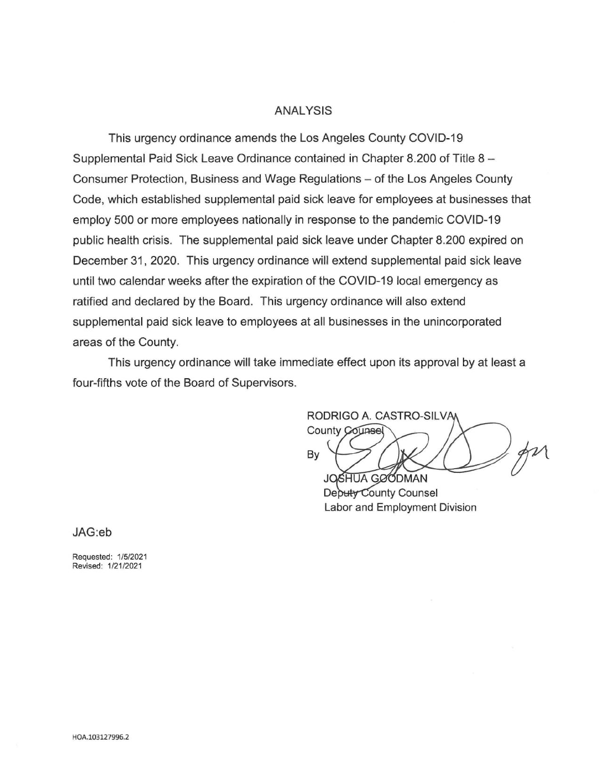# ANALYSIS

This urgency ordinance amends the Los Angeles County COVID-19 Supplemental Paid Sick Leave Ordinance contained in Chapter 8.200 of Title 8 — Consumer Protection, Business and Wage Regulations — of the Los Angeles County Code, which established supplemental paid sick leave for employees at businesses that employ 500 or more employees nationally in response to the pandemic COVID-19 public health crisis. The supplemental paid sick leave under Chapter 8.200 expired on December 31, 2020. This urgency ordinance will extend supplemental paid sick leave until two calendar weeks after the expiration of the COVID-19 local emergency as ratified and declared by the Board. This urgency ordinance will also extend supplemental paid sick leave to employees at all businesses in the unincorporated areas of the County.

This urgency ordinance will take immediate effect upon its approval by at least a four-fifths vote of the Board of Supervisors.

RODRIGO A. CASTRO-SILV RODRIGO A. CASTRO-SIL<br>County Counse By

JOSHUA GØODMAN Deputy County Counsel Labor and Employment Division

JAG:eb

Requested: 1/5/2021 Revised: 1 /21 /2021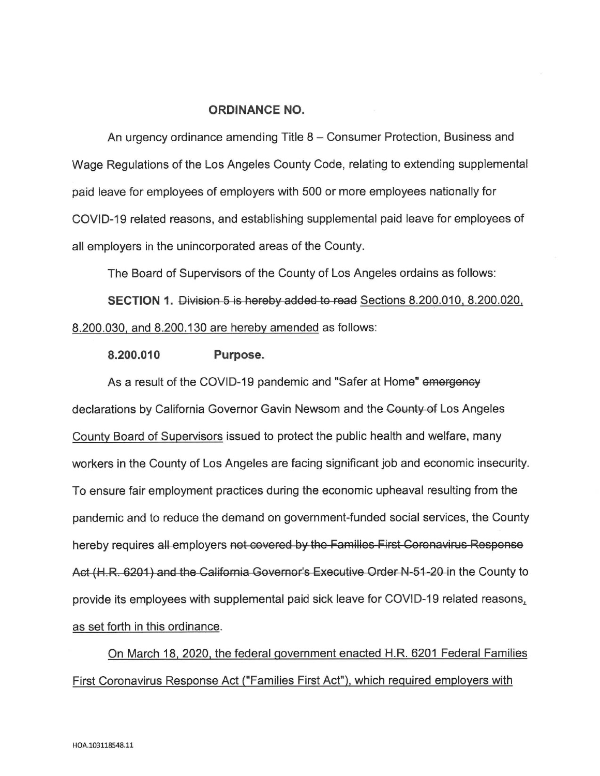# ORDINANCE NO.

An urgency ordinance amending Title 8 – Consumer Protection, Business and Wage Regulations of the Los Angeles County Code, relating to extending supplemental paid leave for employees of employers with 500 or more employees nationally for COVID-19 related reasons, and establishing supplemental paid leave for employees of all employers in the unincorporated areas of the County.

The Board of Supervisors of the County of Los Angeles ordains as follows:

SECTION 1. Division 5 is hereby added to read Sections 8.200.010, 8.200.020, 8.200.030, and 8.200.130 are hereby amended as follows:

8.200.010 Purpose.

As a result of the COVID-19 pandemic and "Safer at Home" emergency declarations by California Governor Gavin Newsom and the County of Los Angeles County Board of Supervisors issued to protect the public health and welfare, many workers in the County of Los Angeles are facing significant job and economic insecurity. To ensure fair employment practices during the economic upheaval resulting from the pandemic and to reduce the demand on government-funded social services, the County hereby requires all employers not covered by the Families First Coronavirus Response Act (H.R. 6201) and the California Governor's Executive Order N-51-20-in the County to<br>provide its employees with supplemental paid sick leave for COVID-19 related reasons, as set forth in this ordinance.

On March 18, 2020, the federal government enacted H.R. 6201 Federal Families First Coronavirus Response Act ("Families First Act"), which required employers with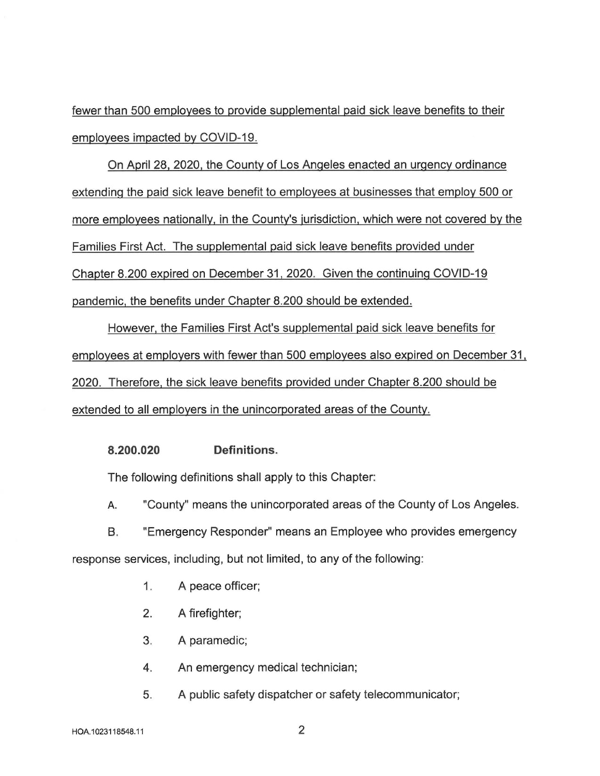fewer than 500 employees to provide supplemental paid sick leave benefits to their employees impacted by COVID-19.

On April 28, 2020, the County of Los Angeles enacted an urgency ordinance extending the paid sick leave benefit to employees at businesses that employ 500 or more employees nationally, in the County's jurisdiction, which were not covered by the Families First Act. The supplemental paid sick leave benefits provided under Chapter 8.200 expired on December 31, 2020. Given the continuing COVID-19 pandemic, the benefits under Chapter 8.200 should be extended.

However, the Families First Act's supplemental paid sick leave benefits for employees at employers with fewer than 500 employees also expired on December 31, 2020. Therefore, the sick leave benefits provided under Chapter 8.200 should be extended to all employers in the unincorporated areas of the County.

8.200.020 Definitions.

The following definitions shall apply to this Chapter:

A. "County" means the unincorporated areas of the County of Los Angeles.

B. "Emergency Responder" means an Employee who provides emergency response services, including, but not limited, to any of the following:

- $1.$ A peace officer;
- 2. A firefighter;
- 3. A paramedic;
- 4. An emergency medical technician;
- 5. A public safety dispatcher or safety telecommunicator;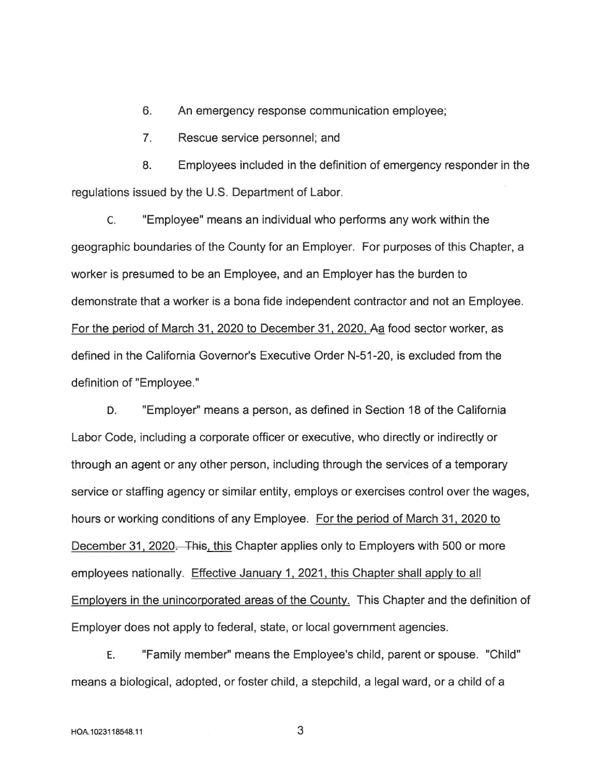6. An emergency response communication employee;

7. Rescue service personnel; and

8. Employees included in the definition of emergency responder in the regulations issued by the U.S. Department of Labor.

C. "Employee" means an individual who performs any work within the geographic boundaries of the County for an Employer. For purposes of this Chapter, a worker is presumed to be an Employee, and an Employer has the burden to demonstrate that a worker is a bona fide independent contractor and not an Employee. For the period of March 31, 2020 to December 31, 2020, Aa food sector worker, as defined in the California Governor's Executive Order N-51-20, is excluded from the definition of "Employee."

D. "Employer" means a person, as defined in Section 18 of the California Labor Code, including a corporate officer or executive, who directly or indirectly or through an agent or any other person, including through the services of a temporary service or staffing agency or similar entity, employs or exercises control over the wages, hours or working conditions of any Employee. For the period of March 31, 2020 to December 31, 2020. This, this Chapter applies only to Employers with 500 or more employees nationally. Effective January 1, 2021, this Chapter shall apply to all Employers in the unincorporated areas of the County. This Chapter and the definition of Employer does not apply to federal, state, or local government agencies.

E. "Family member" means the Employee's child, parent or spouse. "Child" means a biological, adopted, or foster child, a stepchild, a legal ward, or a child of a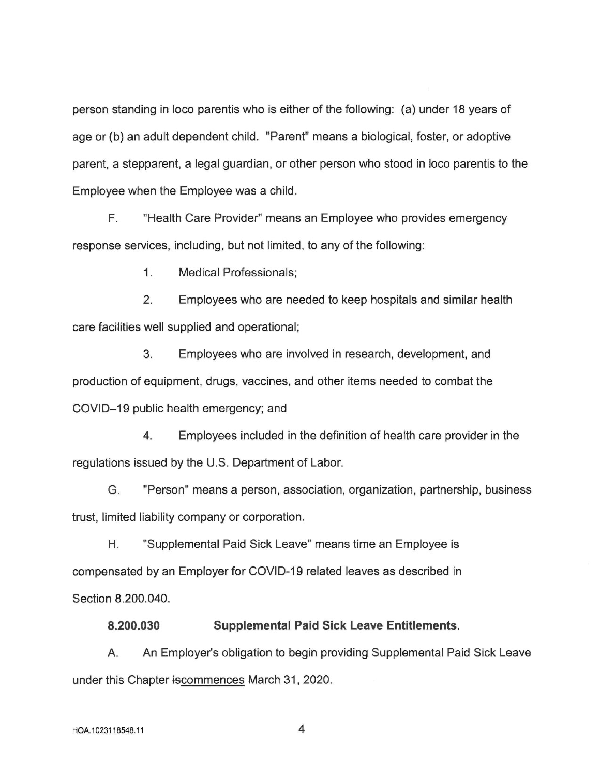person standing in loco parentis who is either of the following: (a) under 18 years of age or (b) an adult dependent child. "Parent" means a biological, foster, or adoptive parent, a stepparent, a legal guardian, or other person who stood in loco parentis to the Employee when the Employee was a child.

F. "Health Care Provider" means an Employee who provides emergency response services, including, but not limited, to any of the following:

1. Medical Professionals;

2. Employees who are needed to keep hospitals and similar health care facilities well supplied and operational;

3. Employees who are involved in research, development, and production of equipment, drugs, vaccines, and other items needed to combat the COVID-19 public health emergency; and

4. Employees included in the definition of health care provider in the regulations issued by the U.S. Department of Labor.

G. "Person" means a person, association, organization, partnership, business trust, limited liability company or corporation.

H. "Supplemental Paid Sick Leave" means time an Employee is compensated by an Employer for COVID-19 related leaves as described in Section 8.200.040.

8.200.030 Supplemental Paid Sick Leave Entitlements.

A. An Employer's obligation to begin providing Supplemental Paid Sick Leave under this Chapter iscommences March 31, 2020.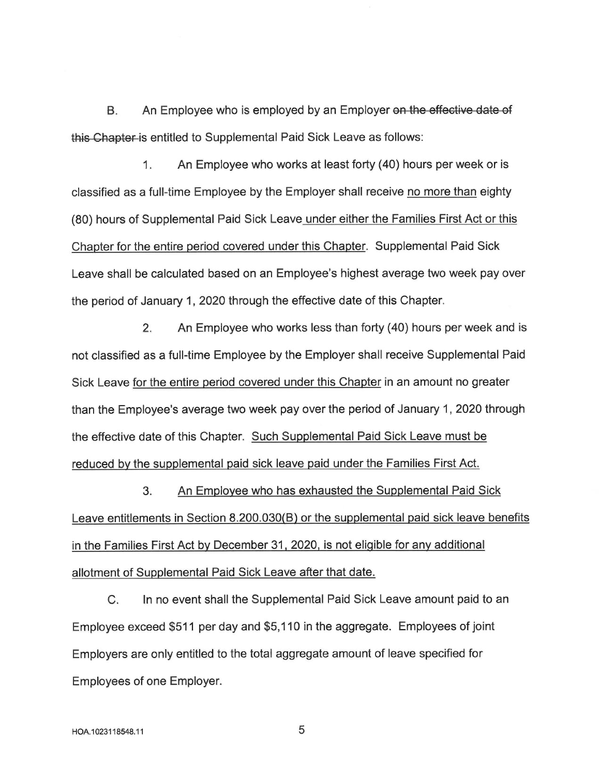B. An Employee who is employed by an Employer on the effective date of this Chapter is entitled to Supplemental Paid Sick Leave as follows:

An Employee who works at least forty (40) hours per week or is  $1.$ classified as a full-time Employee by the Employer shall receive no more than eighty (80) hours of Supplemental Paid Sick Leave under either the Families First Act or this Chapter for the entire period covered under this Chapter. Supplemental Paid Sick Leave shall be calculated based on an Employee's highest average two week pay over the period of January 1, 2020 through the effective date of this Chapter.

2. An Employee who works less than forty (40) hours per week and is not classified as a full-time Employee by the Employer shall receive Supplemental Paid Sick Leave for the entire period covered under this Chapter in an amount no greater than the Employee's average two week pay over the period of January 1, 2020 through the effective date of this Chapter. Such Supplemental Paid Sick Leave must be reduced by the supplemental paid sick leave paid under the Families First Act.

3. An Employee who has exhausted the Supplemental Paid Sick Leave entitlements in Section 8.200.030(6) or the supplemental paid sick leave benefits in the Families First Act by December 31, 2020, is not eligible for any additional allotment of Supplemental Paid Sick Leave after that date.

C. In no event shall the Supplemental Paid Sick Leave amount paid to an Employee exceed \$511 per day and \$5,110 in the aggregate. Employees of joint Employers are only entitled to the total aggregate amount of leave specified for Employees of one Employer.